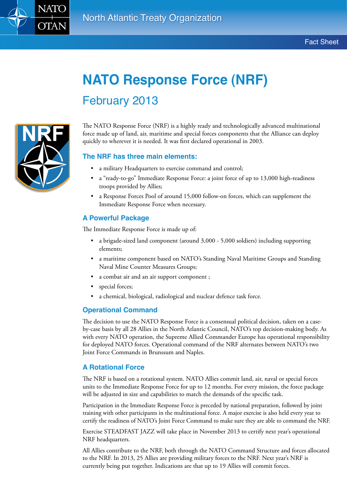

# **NATO Response Force (NRF)** February 2013



The NATO Response Force (NRF) is a highly ready and technologically advanced multinational force made up of land, air, maritime and special forces components that the Alliance can deploy quickly to wherever it is needed. It was first declared operational in 2003.

#### **The NRF has three main elements:**

- • a military Headquarters to exercise command and control;
- a "ready-to-go" Immediate Response Force: a joint force of up to 13,000 high-readiness troops provided by Allies;
- a Response Forces Pool of around 15,000 follow-on forces, which can supplement the Immediate Response Force when necessary.

#### **A Powerful Package**

The Immediate Response Force is made up of:

- a brigade-sized land component (around 3,000 5,000 soldiers) including supporting elements;
- • a maritime component based on NATO's Standing Naval Maritime Groups and Standing Naval Mine Counter Measures Groups;
- a combat air and an air support component ;
- special forces;
- a chemical, biological, radiological and nuclear defence task force.

#### **Operational Command**

The decision to use the NATO Response Force is a consensual political decision, taken on a caseby-case basis by all 28 Allies in the North Atlantic Council, NATO's top decision-making body. As with every NATO operation, the Supreme Allied Commander Europe has operational responsibility for deployed NATO forces. Operational command of the NRF alternates between NATO's two Joint Force Commands in Brunssum and Naples.

#### **A Rotational Force**

The NRF is based on a rotational system. NATO Allies commit land, air, naval or special forces units to the Immediate Response Force for up to 12 months. For every mission, the force package will be adjusted in size and capabilities to match the demands of the specific task.

Participation in the Immediate Response Force is preceded by national preparation, followed by joint training with other participants in the multinational force. A major exercise is also held every year to certify the readiness of NATO's Joint Force Command to make sure they are able to command the NRF.

Exercise STEADFAST JAZZ will take place in November 2013 to certify next year's operational NRF headquarters.

All Allies contribute to the NRF, both through the NATO Command Structure and forces allocated to the NRF. In 2013, 25 Allies are providing military forces to the NRF. Next year's NRF is currently being put together. Indications are that up to 19 Allies will commit forces.